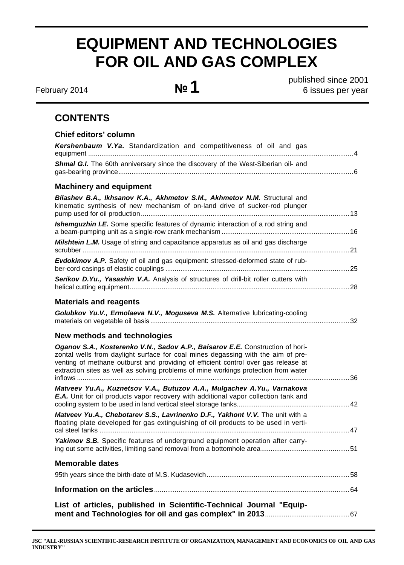# **EQUIPMENT AND TECHNOLOGIES FOR OIL AND GAS COMPLEX**

**February 2014 No. 1** 

published since 2001 6 issues per year

# **CONTENTS**

# **Chief editors' column**  *Kershenbaum V.Ya.* Standardization and competitiveness of oil and gas equipment .............................................................................................................................................4 **Shmal G.I.** The 60th anniversary since the discovery of the West-Siberian oil- and gas-bearing province.............................................................................................................................6 **Machinery and equipment**  *Bilashev B.A., Ikhsanov K.A., Akhmetov S.M., Akhmetov N.M.* Structural and kinematic synthesis of new mechanism of on-land drive of sucker-rod plunger pump used for oil production...............................................................................................................13 *Ishemguzhin I.E.* Some specific features of dynamic interaction of a rod string and a beam-pumping unit as a single-row crank mechanism ....................................................................16 *Milshtein L.M.* Usage of string and capacitance apparatus as oil and gas discharge scrubber ..............................................................................................................................................21 *Evdokimov A.P.* Safety of oil and gas equipment: strеssed-deformed state of rubber-cord casings of elastic couplings ..................................................................................................25 *Serikov D.Yu., Yasashin V.A.* Analysis of structures of drill-bit roller cutters with helical cutting equipment.....................................................................................................................28 **Materials and reagents**  *Golubkov Yu.V., Ermolaeva N.V., Moguseva M.S.* Alternative lubricating-cooling materials on vegetable oil basis ..........................................................................................................32 **New methods and technologies**  *Oganov S.A., Kosterenko V.N., Sadov A.P., Baisarov E.E.* Construction of horizontal wells from daylight surface for coal mines degassing with the aim of preventing of methane outburst and providing of efficient control over gas release at extraction sites as well as solving problems of mine workings protection from water inflows .................................................................................................................................................36 *Matveev Yu.A., Kuznetsov V.A., Butuzov A.A., Mulgachev A.Yu., Varnakova E.A.* Unit for oil products vapor recovery with additional vapor collection tank and cooling system to be used in land vertical steel storage tanks............................................................42 *Matveev Yu.A., Chebotarev S.S., Lavrinenko D.F., Yakhont V.V.* The unit with a floating plate developed for gas extinguishing of oil products to be used in vertical steel tanks .....................................................................................................................................47 Yakimov S.B. Specific features of underground equipment operation after carrying out some activities, limiting sand removal from a bottomhole area...............................................51 **Memorable dates**  95th years since the birth-date of M.S. Kudasevich............................................................................58 **Information on the articles**........................................................................................................64 **List of articles, published in Scientific-Technical Journal "Equipment and Technologies for oil and gas complex" in 2013**.............................................67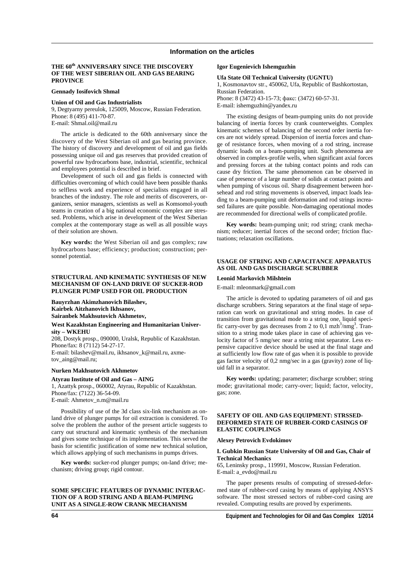#### **THE 60th ANNIVERSARY SINCE THE DISCOVERY OF THE WEST SIBERIAN OIL AND GAS BEARING PROVINCE**

#### **Gennady Iosifovich Shmal**

#### **Union of Oil and Gas Industrialists**

9, Degtyarny pereulok, 125009, Moscow, Russian Federation. Phone: 8 (495) 411-70-87.

E-mail: Shmal.oil@mail.ru

The article is dedicated to the 60th anniversary since the discovery of the West Siberian oil and gas bearing province. The history of discovery and development of oil and gas fields possessing unique oil and gas reserves that provided creation of powerful raw hydrocarbons base, industrial, scientific, technical and employees potential is described in brief.

Development of such oil and gas fields is connected with difficulties overcoming of which could have been possible thanks to selfless work and experience of specialists engaged in all branches of the industry. The role and merits of discoverers, organizers, senior managers, scientists as well as Komsomol-youth teams in creation of a big national economic complex are stressed. Problems, which arise in development of the West Siberian complex at the contemporary stage as well as all possible ways of their solution are shown.

**Key words:** the West Siberian oil and gas complex; raw hydrocarbons base; efficiency; production; construction; personnel potential.

#### **STRUCTURAL AND KINEMATIC SYNTHESIS OF NEW MECHANISM OF ON-LAND DRIVE OF SUCKER-ROD PLUNGER PUMP USED FOR OIL PRODUCTION**

**Bauyrzhan Akimzhanovich Bilashev, Kairbek Aitzhanovich Ikhsanov, Sairanbek Makhsutovich Akhmetov,** 

#### **West Kazakhstan Engineering and Humanitarian University – WKEHU**

208, Dostyk prosp., 090000, Uralsk, Republic of Kazakhstan. Phone/fax: 8 (7112) 54-27-17. E-mail: bilashev@mail.ru, ikhsanov\_k@mail.ru, axmetov\_aing@mail.ru;

#### **Nurken Makhsutovich Akhmetov**

**Atyrau Institute of Oil and Gas – AING**  1, Azattyk prosp., 060002, Atyrau, Republic of Kazakhstan. Phone/fax: (7122) 36-54-09. E-mail: Аhmetov\_n.m@mail.ru

Possibility of use of the 3d class six-link mechanism as onland drive of plunger pumps for oil extraction is considered. To solve the problem the author of the present article suggests to carry out structural and kinematic synthesis of the mechanism and gives some technique of its implementation. This served the basis for scientific justification of some new technical solution, which allows applying of such mechanisms in pumps drives.

**Key words:** sucker-rod plunger pumps; on-land drive; mechanism; driving group; rigid contour.

# **SOME SPECIFIC FEATURES OF DYNAMIC INTERAC-TION OF A ROD STRING AND A BEAM-PUMPING UNIT AS A SINGLE-ROW CRANK MECHANISM**

#### **Igor Eugenievich Ishemguzhin**

#### **Ufa State Oil Technical University (UGNTU)**

1, Kosmonavtov str., 450062, Ufa, Republic of Bashkortostan, Russian Federation. Phone: 8 (3472) 43-15-73; факс: (3472) 60-57-31. E-mail: ishemguzhin@yandex.ru

The existing designs of beam-pumping units do not provide balancing of inertia forces by crank counterweights. Complex kinematic schemes of balancing of the second order inertia forces are not widely spread. Dispersion of inertia forces and change of resistance forces, when moving of a rod string, increase dynamic loads on a beam-pumping unit. Such phenomena are observed in complex-profile wells, when significant axial forces and pressing forces at the tubing contact points and rods can cause dry friction. The same phenomenon can be observed in case of presence of a large number of solids at contact points and when pumping of viscous oil. Sharp disagreement between horsehead and rod string movements is observed, impact loads leading to a beam-pumping unit deformation and rod strings increased failures are quite possible. Non-damaging operational modes are recommended for directional wells of complicated profile.

**Key words:** beam-pumping unit; rod string; crank mechanism; reducer; inertial forces of the second order; friction fluctuations; relaxation oscillations.

#### **USAGE OF STRING AND CAPACITANCE APPARATUS AS OIL AND GAS DISCHARGE SCRUBBER**

#### **Leonid Markovich Milshtein**

Е-mail: mleonmark@gmail.com

The article is devoted to updating parameters of oil and gas discharge scrubbers. String separators at the final stage of separation can work on gravitational and string modes. In case of transition from gravitational mode to a string one, liquid specific carry-over by gas decreases from 2 to  $0,\overline{1}$  mzh<sup>3</sup>/nmg<sup>3</sup>. Transition to a string mode takes place in case of achieving gas velocity factor of 5 nmg/sec near a string mist separator. Less expensive capacitive device should be used at the final stage and at sufficiently low flow rate of gas when it is possible to provide gas factor velocity of 0,2 nmg/sec in a gas (gravity) zone of liquid fall in a separator.

**Key words:** updating; parameter; discharge scrubber; string mode; gravitational mode; carry-over; liquid; factor, velocity, gas; zone.

### **SAFETY OF OIL AND GAS EQUIPMENT: STRSSED-DEFORMED STATE OF RUBBER-CORD CASINGS OF ELASTIC COUPLINGS**

#### **Alexey Petrovich Evdokimov**

#### **I. Gubkin Russian State University of Oil and Gas, Chair of Technical Mechanics**

65, Leninsky prosp., 119991, Moscow, Russian Federation. E-mail: a\_evdo@mail.ru

The paper presents results of computing of stressed-deformed state of rubber-cord casing by means of applying ANSYS software. The most stressed sectors of rubber-cord casing are revealed. Computing results are proved by experiments.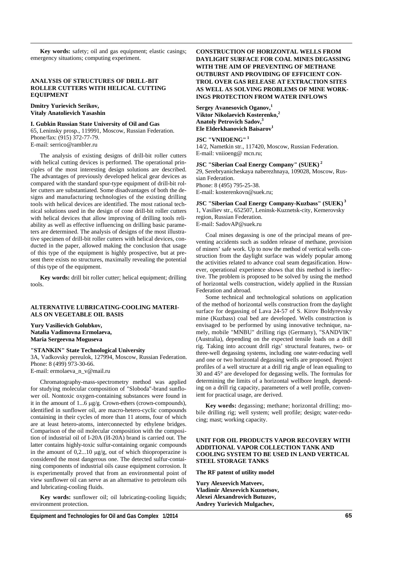**Key words:** safety; oil and gas equipment; elastic casings; emergency situations; computing experiment.

### **ANALYSIS OF STRUCTURES OF DRILL-BIT ROLLER CUTTERS WITH HELICAL CUTTING EQUIPMENT**

#### **Dmitry Yurievich Serikov, Vitaly Anatolievich Yasashin**

#### **I. Gubkin Russian State University of Oil and Gas**

65, Leninsky prosp., 119991, Moscow, Russian Federation. Phone/fax: (915) 372-77-79. E-mail: serrico@rambler.ru

The analysis of existing designs of drill-bit roller cutters with helical cutting devices is performed. The operational principles of the most interesting design solutions are described. The advantages of previously developed helical gear devices as compared with the standard spur-type equipment of drill-bit roller cutters are substantiated. Some disadvantages of both the designs and manufacturing technologies of the existing drilling tools with helical devices are identified. The most rational technical solutions used in the design of cone drill-bit roller cutters with helical devices that allow improving of drilling tools reliability as well as effective influencing on drilling basic parameters are determined. The analysis of designs of the most illustrative specimen of drill-bit roller cutters with helical devices, conducted in the paper, allowed making the conclusion that usage of this type of the equipment is highly prospective, but at present there exists no structures, maximally revealing the potential of this type of the equipment.

**Key words:** drill bit roller cutter; helical equipment; drilling tools.

## **ALTERNATIVE LUBRICATING-COOLING MATERI-ALS ON VEGETABLE OIL BASIS**

**Yury Vasilievich Golubkov, Natalia Vadimovna Ermolaeva, Maria Sergeevna Moguseva** 

#### **"STANKIN" State Technological University**

3A, Vadkovsky pereulok, 127994, Moscow, Russian Federation. Phone: 8 (499) 973-30-66. E-mail: ermolaeva\_n\_v@mail.ru

Chromatography-mass-spectrometry method was applied for studying molecular composition of "Sloboda"-brand sunflower oil. Nontoxic oxygen-containing substances were found in it in the amount of 1...6 µg/g. Crown-ethers (crown-compounds), identified in sunflower oil, are macro-hetero-cyclic compounds containing in their cycles of more than 11 atoms, four of which are at least hetero-atoms, interconnected by ethylene bridges. Comparison of the oil molecular composition with the composition of industrial oil of I-20A (И-20A) brand is carried out. The latter contains highly-toxic sulfur-containing organic compounds in the amount of  $0.2...10$  ug/g, out of which thioproperazine is considered the most dangerous one. The detected sulfur-containing components of industrial oils cause equipment corrosion. It is experimentally proved that from an environmental point of view sunflower oil can serve as an alternative to petroleum oils and lubricating-cooling fluids.

**Key words:** sunflower oil; oil lubricating-cooling liquids; environment protection.

# **CONSTRUCTION OF HORIZONTAL WELLS FROM DAYLIGHT SURFACE FOR COAL MINES DEGASSING WITH THE AIM OF PREVENTING OF METHANE OUTBURST AND PROVIDING OF EFFICIENT CON-TROL OVER GAS RELEASE AT EXTRACTION SITES AS WELL AS SOLVING PROBLEMS OF MINE WORK-INGS PROTECTION FROM WATER INFLOWS**

Sergey Avanesovich Oganov,<sup>1</sup> **Viktor Nikolaevich Kosterenko,<sup>2</sup> Anatoly Petrovich Sadov,3 Ele Elderkhanovich Baisarov**<sup>1</sup>

# **JSC "VNIIOENG" 1**

14/2, Nametkin str., 117420, Moscow, Russian Federation. Е-mail: vniioeng@ mcn.ru;

# **JSC "Siberian Coal Energy Company" (SUEK)<sup>2</sup>**

29, Serebryanicheskaya naberezhnaya, 109028, Moscow, Russian Federation. Phone: 8 (495) 795-25-38.

Е-mail: kosterenkovn@suek.ru;

**JSC "Siberian Coal Energy Company-Kuzbass" (SUEK) 3** 1, Vasiliev str., 652507, Leninsk-Kuznetsk-city, Kemerovsky region, Russian Federation. Е-mail: SadovAP@suek.ru

Coal mines degassing is one of the principal means of preventing accidents such as sudden release of methane, provision of miners' safe work. Up to now the method of vertical wells construction from the daylight surface was widely popular among the activities related to advance coal seam degasification. However, operational experience shows that this method is ineffective. The problem is proposed to be solved by using the method of horizontal wells construction, widely applied in the Russian Federation and abroad.

Some technical and technological solutions on application of the method of horizontal wells construction from the daylight surface for degassing of Lava 24-57 of S. Kirov Boldyrevsky mine (Kuzbass) coal bed are developed. Wells construction is envisaged to be performed by using innovative technique, namely, mobile "MNBU" drilling rigs (Germany), "SANDVIK" (Australia), depending on the expected tensile loads on a drill rig. Taking into account drill rigs' structural features, two- or three-well degassing systems, including one water-reducing well and one or two horizontal degassing wells are proposed. Project profiles of a well structure at a drill rig angle of lean equaling to 30 and 45° are developed for degassing wells. The formulas for determining the limits of a horizontal wellbore length, depending on a drill rig capacity, parameters of a well profile, convenient for practical usage, are derived.

**Key words:** degassing; methane; horizontal drilling; mobile drilling rig; well system; well profile; design; water-reducing; mast; working capacity.

### **UNIT FOR OIL PRODUCTS VAPOR RECOVERY WITH ADDITIONAL VAPOR COLLECTION TANK AND COOLING SYSTEM TO BE USED IN LAND VERTICAL STEEL STORAGE TANKS**

**The RF patent of utility model** 

**Yury Alexeevich Matveev, Vladimir Alexeevich Kuznetsov, Alexei Alexandrovich Butuzov, Andrey Yurievich Mulgachev,**